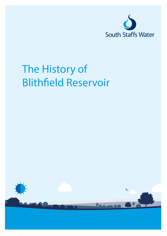

# The History of Blithfield Reservoir

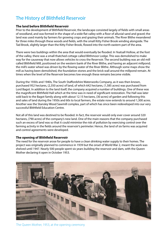## The History of Blithfield Reservoir

#### **The land before Blithfield Reservoir**

Prior to the development of Blithfield Reservoir, the landscape consisted largely of fields with small areas of woodland, and was formed in the shape of a wide flat valley with a floor of alluvial sand and gravel; the land was used mainly by farmers for growing crops and grazing their animals. The River Blithe meandered for three miles through these woods and fields, with the small Kitty Fisher Brook winding alongside. The Tad Brook, slightly larger than the Kitty Fisher Brook, flowed into the north eastern part of the area.

There were two buildings within the area that would eventually be flooded. In Yeatsall Hollow, at the foot of the valley, there was a small thatched cottage called Blithmoor Lodge. This was demolished to make way for the causeway that now allows vehicles to cross the Reservoir. The second building was an old mill called Blithfield Mill, positioned on the western bank of the River Blithe, and having an adjacent millpond; the mill's water wheel was driven by the flowing water of the River Blithe. Although some maps show the mill as having been demolished, the foundation stones and the brick wall around the millpond remain. At times when the level of the Reservoir becomes low enough these remains become visible.

During the 1930s and 1940s, The South Staffordshire Waterworks Company, as it was then known, purchased 952 hectares, (2,350 acres) of land, of which 642 hectares, (1,585 acres) was purchased from Lord Bagot. In addition to the land itself, the company acquired a number of buildings. One of these was the magnificent Blithfield Hall which at the time was in need of significant restoration. The Hall was later sold back to the Bagot family along with about 12.15 hectares, (30 acres) of garden and following this and sales of land during the 1950s and 60s to local farmers, the estate now extends to around 1,300 acres. Another was the Stansley Wood Sawmill complex, part of which has since been redeveloped into our very successful Blithfield Education Centre.

Not all of this land was destined to be flooded. In fact, the reservoir would only ever cover around 320 hectares, (790 acres) of the company's new land. One of the main reasons that the company purchased such an excess of land was so that it could minimise the risk of pollution by exercising control over the farming activity in the fields around the reservoir's perimeter. Hence, the land of six farms was acquired and control agreements were developed.

#### **The opening of Blithfield Reservoir**

The need for the reservoir arose for people to have a clean drinking water supply to their homes. The project was originally planned to commence in 1939 but the onset of World War 2, meant the work was shelved until 1947. Nearly 500 people spent six years building the reservoir and dam, with the Queen Mother declaring it open in October 1953.



The Queen Mother, 1953, at the opening ceremony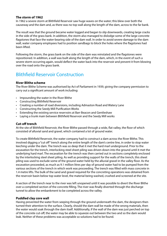#### **The storm of 1962**

In 1962 a severe storm at Blithfield Reservoir saw huge waves on the water; this blew over both the causeway and the dam and, as there was no top wall along the length of the dam, across to the far bank.

The result was that the ground became water logged and began to slip downwards, creating large cracks in the side of the grass bank. In addition, the storm also managed to dislodge some of the large concrete flagstones that face the water-bearing side of the dam wall. In order to avoid severe damage to the dam wall, water company employees had to position sandbags to block the holes where the flagstones had been lifted.

Following the storm, the grass bank on the side of the dam was reinstated and the flagstones were repositioned. In addition, a wall was built along the length of the dam, which, in the event of such a severe storm occurring again, would deflect the water back into the reservoir and prevent it from blowing over the road onto the grass bank.

### Blithfield Reservoir Construction

#### **River Blithe scheme**

The River Blithe Scheme was authorised by Act of Parliament in 1939, giving the company permission to carry out a significant amount of work including:

- Impounding the water in the River Blithe
- Constructing Blithfield Reservoir
- Creating a number of road diversions, including Admaston Road and Watery Lane
- Constructing the Seedy Mill Purification Works
- Extending the existing service reservoirs at Barr Beacon and Gentleshaw
- Laying a trunk main between Blithfield Reservoir and the Seedy Mill works

#### **Cut-off trench**

At the site of Blithfield Reservoir, the River Blithe passed through a wide, flat valley, the floor of which consisted of alluvial sand and gravel, which contained a lot of ground water.

To create Blithfield Reservoir, the water company had to construct a dam across the River Blithe. This involved digging a "cut off" trench along the entire length of the dam's centre line, in order to stop water leeching under the dam. The trench was so deep that it met the hard marl underground. Prior to the excavation for the trench, interlocking steel sheet piling was driven down into the ground until it met the underlying hard marl. The excavation for the trench was then carried out in sections completely enclosed by the interlocking steel sheet piling. As well as providing support for the walls of the trench, this sheet piling was used to exclude some of the ground water held by the alluvial gravel in the valley floor. As the excavation proceeded, as much as 9.1 million litres per day of ground water had to be pumped from the various sections of the trench in which work was proceeding. The trench was filled with mass concrete in 1.4 metre lifts. The bulk of the sand and gravel required for the concreting operations was obtained from the reservoir basin below top water level, the material being washed, crushed and screened at the site.

A section of the trench near to the river was left unopened until it was possible to divert the River Blithe over a completed section of the concrete filling. The river was finally diverted through the discharge tunnel to allow the embankment to be completed across the valley.

#### **Puddled clay core wall**

Having prevented the water from seeping through the ground underneath the dam, the designers then turned their attention to the surface. Clearly, should the dam wall be made of the wrong materials, then the water would soak through the dam itself. Additionally, if the wall of the dam was just perched on top of the concrete cut-off, the water may be able to squeeze out between the two and so the dam would leak. Neither of these problems was acceptable so solutions had to be found.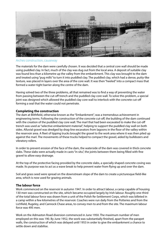

Arches construction, causeway

The materials for the dam were carefully chosen. It was decided that a central core wall should be made using puddled clay. In fact, much of the clay was dug out from the local area. A deposit of suitable clay was found less than a kilometre up the valley from the embankment. This clay was brought to the dam and treated using "pug mills" to turn it into puddled clay. The puddled clay, which had a dense, putty-like texture, was placed in layers over the area of the core wall. It was then "heeled" into a compact mass that formed a water-tight barrier along the centre of the dam.

Having solved two of the three problems, all that remained was to find a way of preventing the water from passing between the cut-off trench and the puddled clay core wall. To solve this problem, a special joint was designed which allowed the puddled clay core wall to interlock with the concrete cut-off forming a seal that the water could not penetrate.

#### **Completing the construction**

The dam at Blithfield, otherwise known as the "Embankment", was a tremendous achievement in engineering terms. Following the construction of the concrete cut-off, the building of the dam continued with the creation of the puddled clay core wall. The marl that had been excavated to make the cut-off trench was used as "selective embankment material", helping to support the puddled clay wall on both sides. Alluvial gravel was dredged by drag-line excavators from lagoons in the floor of the valley within the reservoir area. A fleet of tipping trucks brought the gravel to the work area where it was then piled up against the marl. The movements of these trucks helped to compact the gravel, aided by bulldozers and vibratory rollers.

In order to prevent erosion of the face of the dam, the waterside of the dam was covered in thick concrete slabs. These slabs were actually made in casts "in situ", the joints between them being filled with fine gravel to allow easy drainage.

At the top of the protective facing provided by the concrete slabs, a specially shaped concrete coving was made. Its purpose was to act as a wave break to help prevent water from flying up and over the dam.

Soil and grass seed were spread on the downstream slope of the dam to create a picturesque field-like area, which is now used for grazing animals.

#### **The labour force**

Work commenced on the reservoir in autumn 1947. In order to attract labour, a camp capable of housing 130 men was constructed on the site, which became occupied largely by Irish labour. Roughly one-third of the total labour force was drawn from a unit of the Polish Re-Settlement Corps, which was billeted in a camp within a few kilometres of the reservoir. Coaches were run daily from the Potteries and from the Lichfield, Rugeley, and Cannock Chase areas, to convey men to and from the site. The maximum labour force was 495 men.

Work on the Admaston Road diversion commenced in June 1950. The maximum number of men employed on this was 190. By June 1952, the work was substantially finished, apart from the parapet walls, the construction of which was delayed until 1953 in order to give the embankment a chance to settle down and stabilise.